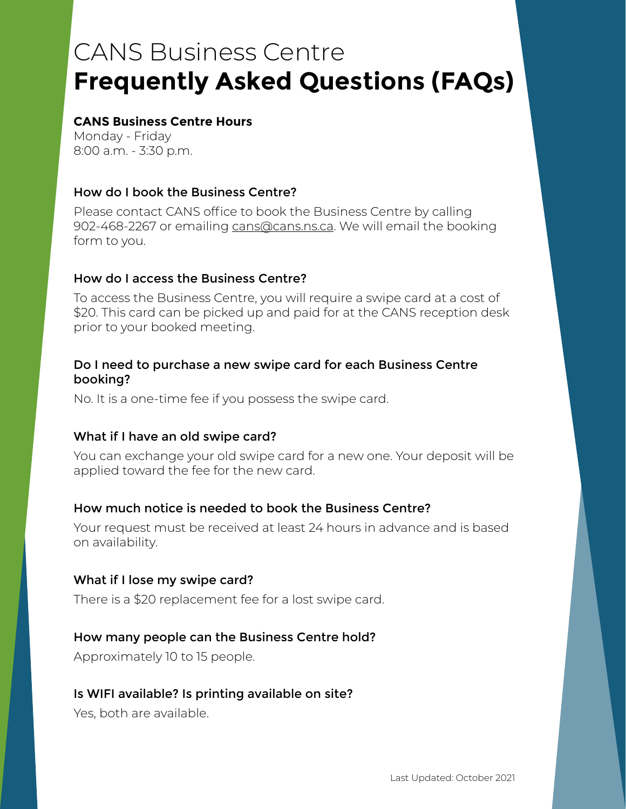# CANS Business Centre **Frequently Asked Questions (FAQs)**

#### **CANS Business Centre Hours**

Monday - Friday 8:00 a.m. - 3:30 p.m.

## How do I book the Business Centre?

Please contact CANS office to book the Business Centre by calling 902-468-2267 or emailing [cans@cans.ns.ca](mailto:cans%40cans.ns.ca?subject=). We will email the booking form to you.

#### How do I access the Business Centre?

To access the Business Centre, you will require a swipe card at a cost of \$20. This card can be picked up and paid for at the CANS reception desk prior to your booked meeting.

#### Do I need to purchase a new swipe card for each Business Centre booking?

No. It is a one-time fee if you possess the swipe card.

#### What if I have an old swipe card?

You can exchange your old swipe card for a new one. Your deposit will be applied toward the fee for the new card.

#### How much notice is needed to book the Business Centre?

Your request must be received at least 24 hours in advance and is based on availability.

#### What if I lose my swipe card?

There is a \$20 replacement fee for a lost swipe card.

#### How many people can the Business Centre hold?

Approximately 10 to 15 people.

#### Is WIFI available? Is printing available on site?

Yes, both are available.